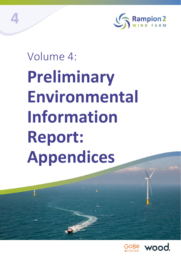

# Volume 4: **Preliminary Environmental Information Report: Appendices**

**4**

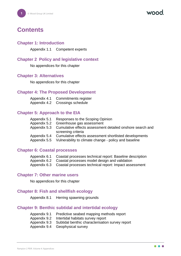# **Contents**

# **Chapter 1: Introduction**

Appendix 1.1 Competent experts

# **Chapter 2 Policy and legislative context**

No appendices for this chapter

# **Chapter 3: Alternatives**

No appendices for this chapter

# **Chapter 4: The Proposed Development**

| Appendix 4.1 | Commitments register |
|--------------|----------------------|
| Appendix 4.2 | Crossings schedule   |

# **Chapter 5: Approach to the EIA**

| Appendix 5.1<br>Appendix 5.2 | Responses to the Scoping Opinion<br>Greenhouse gas assessment |
|------------------------------|---------------------------------------------------------------|
| Appendix 5.3                 | Cumulative effects assessment detailed onshore search and     |
|                              | screening criteria                                            |
| Appendix 5.4                 | Cumulative effects assessment shortlisted developments        |
| Appendix 5.5                 | Vulnerability to climate change - policy and baseline         |

# **Chapter 6: Coastal processes**

| Appendix 6.1 Coastal processes technical report: Baseline description |  |
|-----------------------------------------------------------------------|--|
|-----------------------------------------------------------------------|--|

- Appendix 6.2 Coastal processes model design and validation
- Appendix 6.3 Coastal processes technical report: Impact assessment

# **Chapter 7: Other marine users**

No appendices for this chapter

# **Chapter 8: Fish and shellfish ecology**

Appendix 8.1 Herring spawning grounds

# **Chapter 9: Benthic subtidal and intertidal ecology**

- Appendix 9.1 Predictive seabed mapping methods report
- Appendix 9.2 Intertidal habitats survey report
- Appendix 9.3 Subtidal benthic characterisation survey report
- Appendix 9.4 Geophysical survey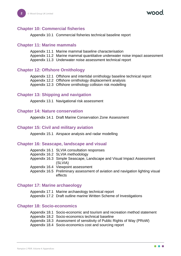# **Chapter 10: Commercial fisheries**

Appendix 10.1 Commercial fisheries technical baseline report

#### **Chapter 11: Marine mammals**

Appendix 11.1 Marine mammal baseline characterisation Appendix 11.2 Marine mammal quantitative underwater noise impact assessment Appendix 11.3 Underwater noise assessment technical report

# **Chapter 12: Offshore Ornithology**

Appendix 12.1 Offshore and intertidal ornithology baseline technical report

Appendix 12.2 Offshore ornithology displacement analysis

Appendix 12.3 Offshore ornithology collision risk modelling

# **Chapter 13: Shipping and navigation**

Appendix 13.1 Navigational risk assessment

# **Chapter 14: Nature conservation**

Appendix 14.1 Draft Marine Conservation Zone Assessment

#### **Chapter 15: Civil and military aviation**

Appendix 15.1 Airspace analysis and radar modelling

# **Chapter 16: Seascape, landscape and visual**

| Appendix 16.1 SLVIA consultation responses                                                 |
|--------------------------------------------------------------------------------------------|
| Appendix 16.2 SLVIA methodology                                                            |
| Appendix 16.3 Simple Seascape, Landscape and Visual Impact Assessment<br>(SLVIA)           |
| Appendix 16.4 Viewpoint assessment                                                         |
| Appendix 16.5 Preliminary assessment of aviation and navigation lighting visual<br>effects |

# **Chapter 17: Marine archaeology**

Appendix 17.1 Marine archaeology technical report Appendix 17.2 Draft outline marine Written Scheme of Investigations

# **Chapter 18: Socio-economics**

| Appendix 18.1 Socio-economic and tourism and recreation method statement                                                   |
|----------------------------------------------------------------------------------------------------------------------------|
| Appendix 18.2 Socio-economics technical baseline<br>Appendix 18.3 Assessment of sensitivity of Public Rights of Way (PRoW) |
| Appendix 18.4 Socio-economics cost and sourcing report                                                                     |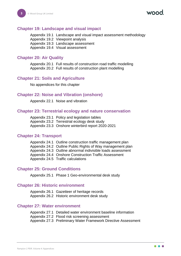#### **Chapter 19: Landscape and visual impact**

Appendix 19.1 Landscape and visual impact assessment methodology Appendix 19.2 Viewpoint analysis Appendix 19.3 Landscape assessment Appendix 19.4 Visual assessment

#### **Chapter 20: Air Quality**

Appendix 20.1 Full results of construction road traffic modelling Appendix 20.2 Full results of construction plant modelling

#### **Chapter 21: Soils and Agriculture**

No appendices for this chapter

#### **Chapter 22: Noise and Vibration (onshore)**

Appendix 22.1 Noise and vibration

#### **Chapter 23: Terrestrial ecology and nature conservation**

| Appendix 23.1 Policy and legislation tables       |
|---------------------------------------------------|
| Appendix 23.2 Terrestrial ecology desk study      |
| Appendix 23.3 Onshore winterbird report 2020-2021 |

#### **Chapter 24: Transport**

| Appendix 24.1 Outline construction traffic management plan  |
|-------------------------------------------------------------|
| Appendix 24.2 Outline Public Rights of Way management plan  |
| Appendix 24.3 Outline abnormal indivisible loads assessment |
| Appendix 24.4 Onshore Construction Traffic Assessment       |
| Appendix 24.5 Traffic calculations                          |

#### **Chapter 25: Ground Conditions**

Appendix 25.1 Phase 1 Geo-environmental desk study

#### **Chapter 26: Historic environment**

Appendix 26.1 Gazetteer of heritage records Appendix 26.2 Historic environment desk study

#### **Chapter 27: Water environment**

| Appendix 27.1 Detailed water environment baseline information  |
|----------------------------------------------------------------|
| Appendix 27.2 Flood risk screening assessment                  |
| Appendix 27.3 Preliminary Water Framework Directive Assessment |